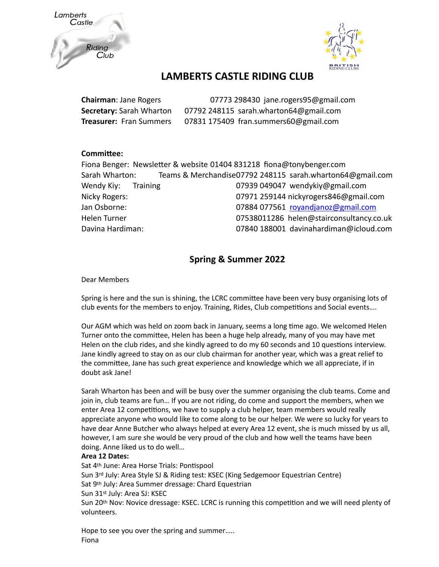



## **LAMBERTS CASTLE RIDING CLUB**

| <b>Chairman: Jane Rogers</b>    | 07773 298430 jane.rogers95@gmail.com   |
|---------------------------------|----------------------------------------|
| <b>Secretary: Sarah Wharton</b> | 07792 248115 sarah.wharton64@gmail.com |
| <b>Treasurer: Fran Summers</b>  | 07831 175409 fran.summers60@gmail.com  |

#### **Committee:**

|                        | Fiona Benger: Newsletter & website 01404 831218 fiona@tonybenger.com |
|------------------------|----------------------------------------------------------------------|
| Sarah Wharton:         | Teams & Merchandise07792 248115 sarah.wharton64@gmail.com            |
| Wendy Kiy:<br>Training | 07939 049047 wendykiy@gmail.com                                      |
| Nicky Rogers:          | 07971 259144 nickyrogers846@gmail.com                                |
| Jan Osborne:           | 07884 077561 rovandjanoz@gmail.com                                   |
| Helen Turner           | 07538011286 helen@stairconsultancy.co.uk                             |
| Davina Hardiman:       | 07840 188001 davinahardiman@icloud.com                               |
|                        |                                                                      |

### **Spring & Summer 2022**

Dear Members

Spring is here and the sun is shining, the LCRC committee have been very busy organising lots of club events for the members to enjoy. Training, Rides, Club competitions and Social events….

Our AGM which was held on zoom back in January, seems a long time ago. We welcomed Helen Turner onto the committee, Helen has been a huge help already, many of you may have met Helen on the club rides, and she kindly agreed to do my 60 seconds and 10 questions interview. Jane kindly agreed to stay on as our club chairman for another year, which was a great relief to the committee, Jane has such great experience and knowledge which we all appreciate, if in doubt ask Jane!

Sarah Wharton has been and will be busy over the summer organising the club teams. Come and join in, club teams are fun… If you are not riding, do come and support the members, when we enter Area 12 competitions, we have to supply a club helper, team members would really appreciate anyone who would like to come along to be our helper. We were so lucky for years to have dear Anne Butcher who always helped at every Area 12 event, she is much missed by us all, however, I am sure she would be very proud of the club and how well the teams have been doing. Anne liked us to do well…

#### **Area 12 Dates:**

Sat 4th June: Area Horse Trials: Pontispool Sun 3rd July: Area Style SJ & Riding test: KSEC (King Sedgemoor Equestrian Centre) Sat 9th July: Area Summer dressage: Chard Equestrian Sun 31st July: Area SJ: KSEC Sun 20th Nov: Novice dressage: KSEC. LCRC is running this competition and we will need plenty of volunteers.

Hope to see you over the spring and summer….. Fiona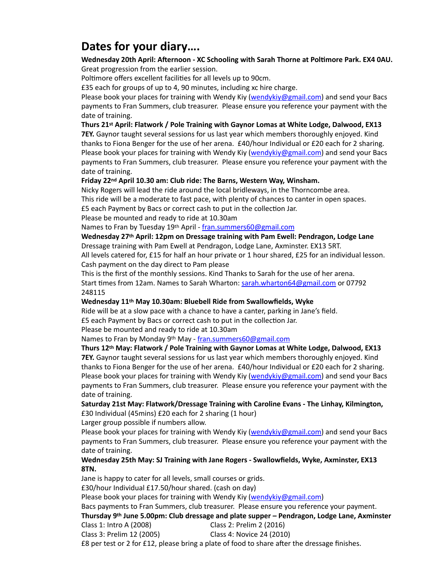# **Dates for your diary….**

#### **Wednesday 20th April: Afternoon - XC Schooling with Sarah Thorne at Poltimore Park. EX4 0AU.** Great progression from the earlier session.

Poltimore offers excellent facilities for all levels up to 90cm.

£35 each for groups of up to 4, 90 minutes, including xc hire charge.

Please book your places for training with Wendy Kiy [\(wendykiy@gmail.com](mailto:wendykiy@gmail.com)) and send your Bacs payments to Fran Summers, club treasurer. Please ensure you reference your payment with the date of training.

**Thurs 21st April: Flatwork / Pole Training with Gaynor Lomas at White Lodge, Dalwood, EX13** 

**7EY.** Gaynor taught several sessions for us last year which members thoroughly enjoyed. Kind thanks to Fiona Benger for the use of her arena. £40/hour Individual or £20 each for 2 sharing. Please book your places for training with Wendy Kiy [\(wendykiy@gmail.com](mailto:wendykiy@gmail.com)) and send your Bacs payments to Fran Summers, club treasurer. Please ensure you reference your payment with the date of training.

#### **Friday 22nd April 10.30 am: Club ride: The Barns, Western Way, Winsham.**

Nicky Rogers will lead the ride around the local bridleways, in the Thorncombe area. This ride will be a moderate to fast pace, with plenty of chances to canter in open spaces. £5 each Payment by Bacs or correct cash to put in the collection Jar.

Please be mounted and ready to ride at 10.30am

Names to Fran by Tuesday 19th April - [fran.summers60@gmail.com](mailto:fran.summers60@gmail.com)

#### **Wednesday 27th April: 12pm on Dressage training with Pam Ewell: Pendragon, Lodge Lane** Dressage training with Pam Ewell at Pendragon, Lodge Lane, Axminster. EX13 5RT.

All levels catered for, £15 for half an hour private or 1 hour shared, £25 for an individual lesson. Cash payment on the day direct to Pam please

This is the first of the monthly sessions. Kind Thanks to Sarah for the use of her arena. Start times from 12am. Names to Sarah Wharton: [sarah.wharton64@gmail.com](mailto:sarah.wharton64@gmail.com) or 07792 248115

#### **Wednesday 11th May 10.30am: Bluebell Ride from Swallowfields, Wyke**

Ride will be at a slow pace with a chance to have a canter, parking in Jane's field.

£5 each Payment by Bacs or correct cash to put in the collection Jar.

Please be mounted and ready to ride at 10.30am

Names to Fran by Monday 9<sup>th</sup> May - [fran.summers60@gmail.com](mailto:fran.summers60@gmail.com)

#### **Thurs 12th May: Flatwork / Pole Training with Gaynor Lomas at White Lodge, Dalwood, EX13**

**7EY.** Gaynor taught several sessions for us last year which members thoroughly enjoyed. Kind thanks to Fiona Benger for the use of her arena. £40/hour Individual or £20 each for 2 sharing. Please book your places for training with Wendy Kiy [\(wendykiy@gmail.com](mailto:wendykiy@gmail.com)) and send your Bacs payments to Fran Summers, club treasurer. Please ensure you reference your payment with the date of training.

### **Saturday 21st May: Flatwork/Dressage Training with Caroline Evans - The Linhay, Kilmington,**

£30 Individual (45mins) £20 each for 2 sharing (1 hour)

Larger group possible if numbers allow.

Please book your places for training with Wendy Kiy [\(wendykiy@gmail.com](mailto:wendykiy@gmail.com)) and send your Bacs payments to Fran Summers, club treasurer. Please ensure you reference your payment with the date of training.

#### **Wednesday 25th May: SJ Training with Jane Rogers - Swallowfields, Wyke, Axminster, EX13 8TN.**

Jane is happy to cater for all levels, small courses or grids.

£30/hour Individual £17.50/hour shared. (cash on day)

Please book your places for training with Wendy Kiy [\(wendykiy@gmail.com](mailto:wendykiy@gmail.com))

Bacs payments to Fran Summers, club treasurer. Please ensure you reference your payment. **Thursday 9th June 5.00pm: Club dressage and plate supper – Pendragon, Lodge Lane, Axminster**

Class 1: Intro A (2008) Class 2: Prelim 2 (2016)

Class 3: Prelim 12 (2005) Class 4: Novice 24 (2010)

£8 per test or 2 for £12, please bring a plate of food to share after the dressage finishes.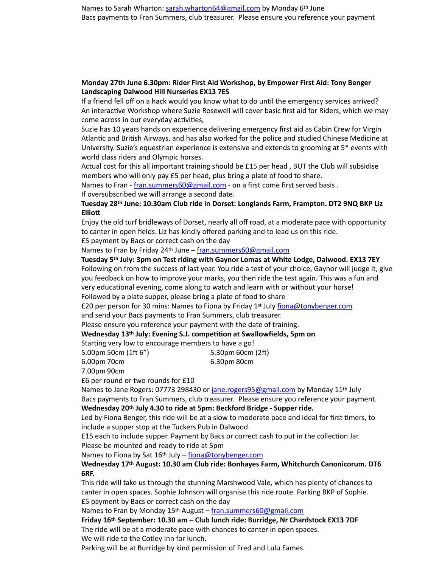#### **Monday 27th June 6.30pm: Rider First Aid Workshop, by Empower First Aid: Tony Benger Landscaping Dalwood Hill Nurseries EX13 7ES**

If a friend fell off on a hack would you know what to do until the emergency services arrived? An interactive Workshop where Suzie Rosewell will cover basic first aid for Riders, which we may come across in our everyday activities,

Suzie has 10 years hands on experience delivering emergency first aid as Cabin Crew for Virgin Atlantic and British Airways, and has also worked for the police and studied Chinese Medicine at University. Suzie's equestrian experience is extensive and extends to grooming at 5\* events with world class riders and Olympic horses.

Actual cost for this all important training should be £15 per head , BUT the Club will subsidise members who will only pay £5 per head, plus bring a plate of food to share.

Names to Fran - [fran.summers60@gmail.com](mailto:fran.summers60@gmail.com) - on a first come first served basis.

If oversubscribed we will arrange a second date.

#### **Tuesday 28th June: 10.30am Club ride in Dorset: Longlands Farm, Frampton. DT2 9NQ BKP Liz Elliott**

Enjoy the old turf bridleways of Dorset, nearly all off road, at a moderate pace with opportunity to canter in open fields. Liz has kindly offered parking and to lead us on this ride.

£5 payment by Bacs or correct cash on the day

Names to Fran by Friday 24<sup>th</sup> June – [fran.summers60@gmail.com](mailto:fran.summers60@gmail.com)

**Tuesday 5th July: 3pm on Test riding with Gaynor Lomas at White Lodge, Dalwood. EX13 7EY** Following on from the success of last year. You ride a test of your choice, Gaynor will judge it, give you feedback on how to improve your marks, you then ride the test again. This was a fun and very educational evening, come along to watch and learn with or without your horse! Followed by a plate supper, please bring a plate of food to share

£20 per person for 30 mins: Names to Fiona by Friday 1st July [fiona@tonybenger.com](mailto:fiona@tonybenger.com)

and send your Bacs payments to Fran Summers, club treasurer.

Please ensure you reference your payment with the date of training.

#### **Wednesday 13th July: Evening S.J. competition at Swallowfields, 5pm on**

Starting very low to encourage members to have a go!

5.00pm 50cm (1ft 6") 5.30pm 60cm (2ft) 6.00pm 70cm 6.30pm 80cm

7.00pm 90cm

£6 per round or two rounds for £10

Names to Jane Rogers: 07773 298430 or [jane.rogers95@gmail.com](mailto:jane.rogers95@gmail.com) by Monday 11<sup>th</sup> July Bacs payments to Fran Summers, club treasurer. Please ensure you reference your payment. **Wednesday 20th July 4.30 to ride at 5pm: Beckford Bridge - Supper ride.**

Led by Fiona Benger, this ride will be at a slow to moderate pace and ideal for first timers, to include a supper stop at the Tuckers Pub in Dalwood.

£15 each to include supper. Payment by Bacs or correct cash to put in the collection Jar. Please be mounted and ready to ride at 5pm

Names to Fiona by Sat 16<sup>th</sup> July – [fiona@tonybenger.com](mailto:fiona@tonybenger.com)

**Wednesday 17th August: 10.30 am Club ride: Bonhayes Farm, Whitchurch Canonicorum. DT6 6RF.**

This ride will take us through the stunning Marshwood Vale, which has plenty of chances to canter in open spaces. Sophie Johnson will organise this ride route. Parking BKP of Sophie. £5 payment by Bacs or correct cash on the day

Names to Fran by Monday 15<sup>th</sup> August – [fran.summers60@gmail.com](mailto:fran.summers60@gmail.com)

**Friday 16th September: 10.30 am – Club lunch ride: Burridge, Nr Chardstock EX13 7DF** The ride will be at a moderate pace with chances to canter in open spaces.

We will ride to the Cotley Inn for lunch.

Parking will be at Burridge by kind permission of Fred and Lulu Eames.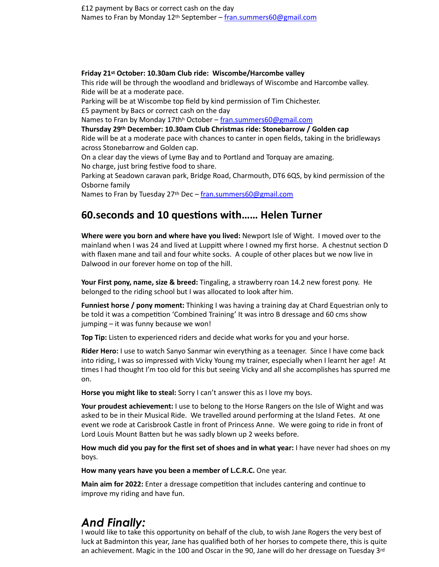#### **Friday 21st October: 10.30am Club ride: Wiscombe/Harcombe valley**

This ride will be through the woodland and bridleways of Wiscombe and Harcombe valley. Ride will be at a moderate pace.

Parking will be at Wiscombe top field by kind permission of Tim Chichester.

£5 payment by Bacs or correct cash on the day

Names to Fran by Monday 17th<sup>h</sup> October – [fran.summers60@gmail.com](mailto:fran.summers60@gmail.com)

**Thursday 29th December: 10.30am Club Christmas ride: Stonebarrow / Golden cap**

Ride will be at a moderate pace with chances to canter in open fields, taking in the bridleways across Stonebarrow and Golden cap.

On a clear day the views of Lyme Bay and to Portland and Torquay are amazing. No charge, just bring festive food to share.

Parking at Seadown caravan park, Bridge Road, Charmouth, DT6 6QS, by kind permission of the Osborne family

Names to Fran by Tuesday 27<sup>th</sup> Dec – [fran.summers60@gmail.com](mailto:fran.summers60@gmail.com)

## **60.seconds and 10 questions with…… Helen Turner**

**Where were you born and where have you lived:** Newport Isle of Wight. I moved over to the mainland when I was 24 and lived at Luppitt where I owned my first horse. A chestnut section D with flaxen mane and tail and four white socks. A couple of other places but we now live in Dalwood in our forever home on top of the hill.

**Your First pony, name, size & breed:** Tingaling, a strawberry roan 14.2 new forest pony. He belonged to the riding school but I was allocated to look after him.

**Funniest horse / pony moment:** Thinking I was having a training day at Chard Equestrian only to be told it was a competition 'Combined Training' It was intro B dressage and 60 cms show jumping – it was funny because we won!

**Top Tip:** Listen to experienced riders and decide what works for you and your horse.

**Rider Hero:** I use to watch Sanyo Sanmar win everything as a teenager. Since I have come back into riding, I was so impressed with Vicky Young my trainer, especially when I learnt her age! At times I had thought I'm too old for this but seeing Vicky and all she accomplishes has spurred me on.

**Horse you might like to steal:** Sorry I can't answer this as I love my boys.

**Your proudest achievement:** I use to belong to the Horse Rangers on the Isle of Wight and was asked to be in their Musical Ride. We travelled around performing at the Island Fetes. At one event we rode at Carisbrook Castle in front of Princess Anne. We were going to ride in front of Lord Louis Mount Batten but he was sadly blown up 2 weeks before.

**How much did you pay for the first set of shoes and in what year:** I have never had shoes on my boys.

**How many years have you been a member of L.C.R.C.** One year.

**Main aim for 2022:** Enter a dressage competition that includes cantering and continue to improve my riding and have fun.

# *And Finally:*

I would like to take this opportunity on behalf of the club, to wish Jane Rogers the very best of luck at Badminton this year, Jane has qualified both of her horses to compete there, this is quite an achievement. Magic in the 100 and Oscar in the 90, Jane will do her dressage on Tuesday 3rd